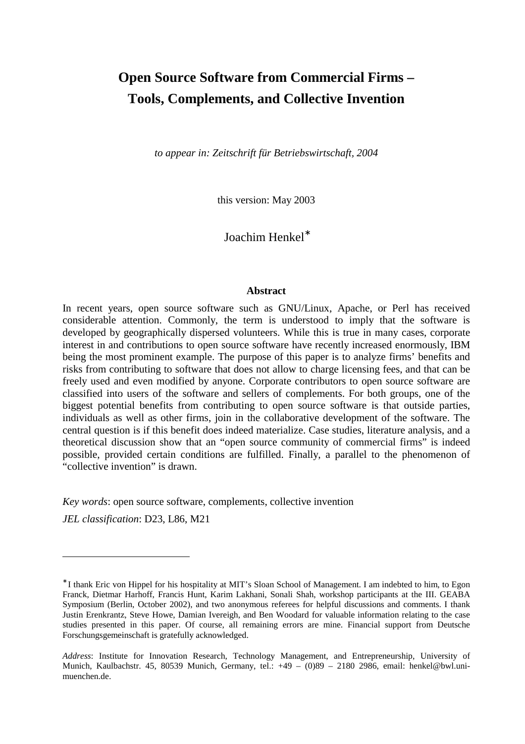# **Open Source Software from Commercial Firms – Tools, Complements, and Collective Invention**

*to appear in: Zeitschrift für Betriebswirtschaft, 2004* 

this version: May 2003

Joachim Henkel<sup>∗</sup>

#### **Abstract**

In recent years, open source software such as GNU/Linux, Apache, or Perl has received considerable attention. Commonly, the term is understood to imply that the software is developed by geographically dispersed volunteers. While this is true in many cases, corporate interest in and contributions to open source software have recently increased enormously, IBM being the most prominent example. The purpose of this paper is to analyze firms' benefits and risks from contributing to software that does not allow to charge licensing fees, and that can be freely used and even modified by anyone. Corporate contributors to open source software are classified into users of the software and sellers of complements. For both groups, one of the biggest potential benefits from contributing to open source software is that outside parties, individuals as well as other firms, join in the collaborative development of the software. The central question is if this benefit does indeed materialize. Case studies, literature analysis, and a theoretical discussion show that an "open source community of commercial firms" is indeed possible, provided certain conditions are fulfilled. Finally, a parallel to the phenomenon of "collective invention" is drawn.

*Key words*: open source software, complements, collective invention

*JEL classification*: D23, L86, M21

<sup>∗</sup> I thank Eric von Hippel for his hospitality at MIT's Sloan School of Management. I am indebted to him, to Egon Franck, Dietmar Harhoff, Francis Hunt, Karim Lakhani, Sonali Shah, workshop participants at the III. GEABA Symposium (Berlin, October 2002), and two anonymous referees for helpful discussions and comments. I thank Justin Erenkrantz, Steve Howe, Damian Ivereigh, and Ben Woodard for valuable information relating to the case studies presented in this paper. Of course, all remaining errors are mine. Financial support from Deutsche Forschungsgemeinschaft is gratefully acknowledged.

*Address*: Institute for Innovation Research, Technology Management, and Entrepreneurship, University of Munich, Kaulbachstr. 45, 80539 Munich, Germany, tel.: +49 – (0)89 – 2180 2986, email: henkel@bwl.unimuenchen.de.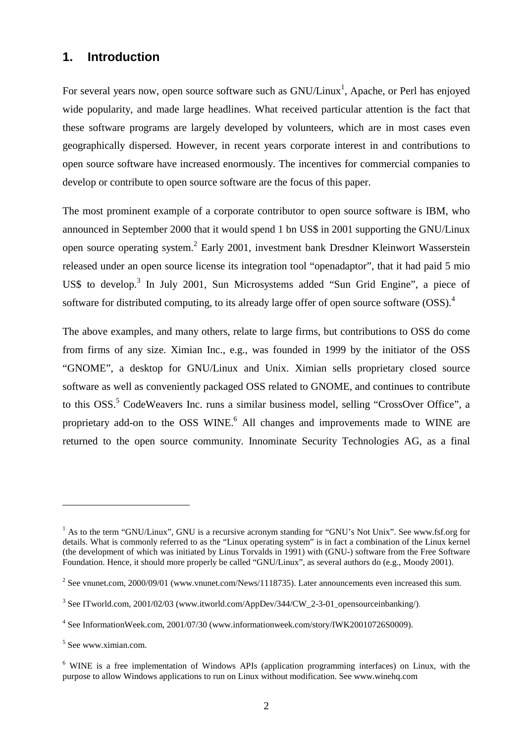## **1. Introduction**

For several years now, open source software such as GNU/Linux<sup>1</sup>, Apache, or Perl has enjoyed wide popularity, and made large headlines. What received particular attention is the fact that these software programs are largely developed by volunteers, which are in most cases even geographically dispersed. However, in recent years corporate interest in and contributions to open source software have increased enormously. The incentives for commercial companies to develop or contribute to open source software are the focus of this paper.

The most prominent example of a corporate contributor to open source software is IBM, who announced in September 2000 that it would spend 1 bn US\$ in 2001 supporting the GNU/Linux open source operating system.<sup>2</sup> Early 2001, investment bank Dresdner Kleinwort Wasserstein released under an open source license its integration tool "openadaptor", that it had paid 5 mio US\$ to develop.<sup>3</sup> In July 2001, Sun Microsystems added "Sun Grid Engine", a piece of software for distributed computing, to its already large offer of open source software  $(OSS)^4$ 

The above examples, and many others, relate to large firms, but contributions to OSS do come from firms of any size. Ximian Inc., e.g., was founded in 1999 by the initiator of the OSS "GNOME", a desktop for GNU/Linux and Unix. Ximian sells proprietary closed source software as well as conveniently packaged OSS related to GNOME, and continues to contribute to this OSS.<sup>5</sup> CodeWeavers Inc. runs a similar business model, selling "CrossOver Office", a proprietary add-on to the OSS WINE.<sup>6</sup> All changes and improvements made to WINE are returned to the open source community. Innominate Security Technologies AG, as a final

<sup>&</sup>lt;sup>1</sup> As to the term "GNU/Linux", GNU is a recursive acronym standing for "GNU's Not Unix". See www.fsf.org for details. What is commonly referred to as the "Linux operating system" is in fact a combination of the Linux kernel (the development of which was initiated by Linus Torvalds in 1991) with (GNU-) software from the Free Software Foundation. Hence, it should more properly be called "GNU/Linux", as several authors do (e.g., Moody 2001).

<sup>&</sup>lt;sup>2</sup> See vnunet.com, 2000/09/01 (www.vnunet.com/News/1118735). Later announcements even increased this sum.

<sup>&</sup>lt;sup>3</sup> See ITworld.com, 2001/02/03 (www.itworld.com/AppDev/344/CW\_2-3-01\_opensourceinbanking/).

<sup>4</sup> See InformationWeek.com, 2001/07/30 (www.informationweek.com/story/IWK20010726S0009).

<sup>5</sup> See www.ximian.com.

<sup>&</sup>lt;sup>6</sup> WINE is a free implementation of Windows APIs (application programming interfaces) on Linux, with the purpose to allow Windows applications to run on Linux without modification. See www.winehq.com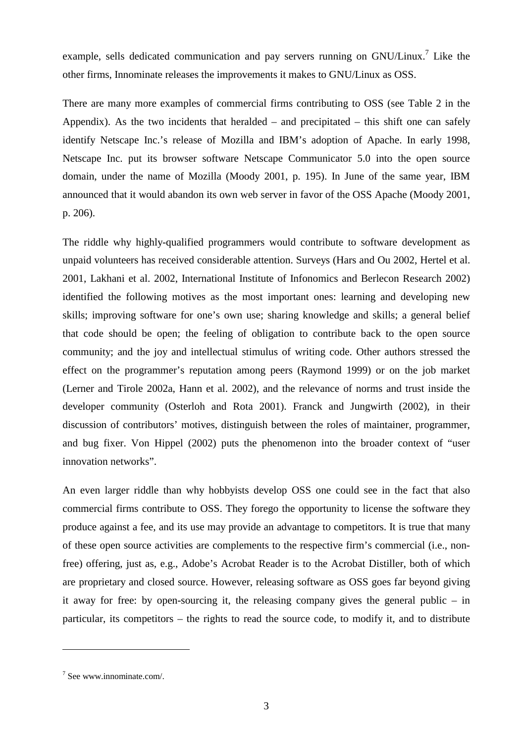example, sells dedicated communication and pay servers running on GNU/Linux.<sup>7</sup> Like the other firms, Innominate releases the improvements it makes to GNU/Linux as OSS.

There are many more examples of commercial firms contributing to OSS (see Table 2 in the Appendix). As the two incidents that heralded – and precipitated – this shift one can safely identify Netscape Inc.'s release of Mozilla and IBM's adoption of Apache. In early 1998, Netscape Inc. put its browser software Netscape Communicator 5.0 into the open source domain, under the name of Mozilla (Moody 2001, p. 195). In June of the same year, IBM announced that it would abandon its own web server in favor of the OSS Apache (Moody 2001, p. 206).

The riddle why highly-qualified programmers would contribute to software development as unpaid volunteers has received considerable attention. Surveys (Hars and Ou 2002, Hertel et al. 2001, Lakhani et al. 2002, International Institute of Infonomics and Berlecon Research 2002) identified the following motives as the most important ones: learning and developing new skills; improving software for one's own use; sharing knowledge and skills; a general belief that code should be open; the feeling of obligation to contribute back to the open source community; and the joy and intellectual stimulus of writing code. Other authors stressed the effect on the programmer's reputation among peers (Raymond 1999) or on the job market (Lerner and Tirole 2002a, Hann et al. 2002), and the relevance of norms and trust inside the developer community (Osterloh and Rota 2001). Franck and Jungwirth (2002), in their discussion of contributors' motives, distinguish between the roles of maintainer, programmer, and bug fixer. Von Hippel (2002) puts the phenomenon into the broader context of "user innovation networks".

An even larger riddle than why hobbyists develop OSS one could see in the fact that also commercial firms contribute to OSS. They forego the opportunity to license the software they produce against a fee, and its use may provide an advantage to competitors. It is true that many of these open source activities are complements to the respective firm's commercial (i.e., nonfree) offering, just as, e.g., Adobe's Acrobat Reader is to the Acrobat Distiller, both of which are proprietary and closed source. However, releasing software as OSS goes far beyond giving it away for free: by open-sourcing it, the releasing company gives the general public – in particular, its competitors – the rights to read the source code, to modify it, and to distribute

<sup>7</sup> See www.innominate.com/.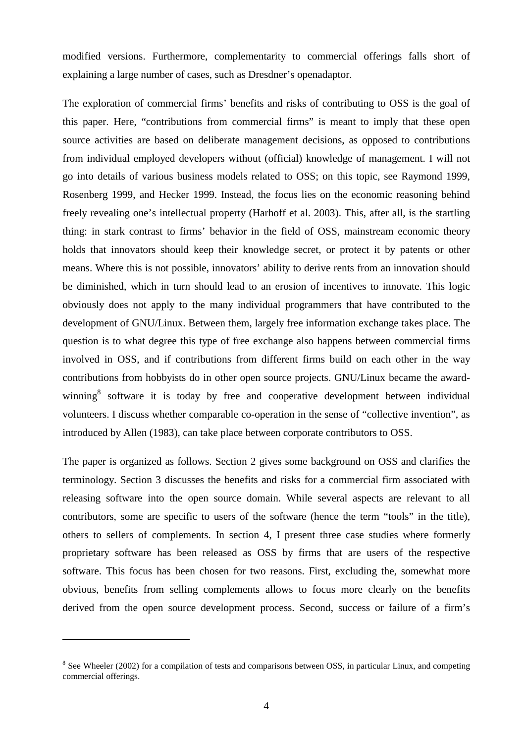modified versions. Furthermore, complementarity to commercial offerings falls short of explaining a large number of cases, such as Dresdner's openadaptor.

The exploration of commercial firms' benefits and risks of contributing to OSS is the goal of this paper. Here, "contributions from commercial firms" is meant to imply that these open source activities are based on deliberate management decisions, as opposed to contributions from individual employed developers without (official) knowledge of management. I will not go into details of various business models related to OSS; on this topic, see Raymond 1999, Rosenberg 1999, and Hecker 1999. Instead, the focus lies on the economic reasoning behind freely revealing one's intellectual property (Harhoff et al. 2003). This, after all, is the startling thing: in stark contrast to firms' behavior in the field of OSS, mainstream economic theory holds that innovators should keep their knowledge secret, or protect it by patents or other means. Where this is not possible, innovators' ability to derive rents from an innovation should be diminished, which in turn should lead to an erosion of incentives to innovate. This logic obviously does not apply to the many individual programmers that have contributed to the development of GNU/Linux. Between them, largely free information exchange takes place. The question is to what degree this type of free exchange also happens between commercial firms involved in OSS, and if contributions from different firms build on each other in the way contributions from hobbyists do in other open source projects. GNU/Linux became the awardwinning<sup>8</sup> software it is today by free and cooperative development between individual volunteers. I discuss whether comparable co-operation in the sense of "collective invention", as introduced by Allen (1983), can take place between corporate contributors to OSS.

The paper is organized as follows. Section 2 gives some background on OSS and clarifies the terminology. Section 3 discusses the benefits and risks for a commercial firm associated with releasing software into the open source domain. While several aspects are relevant to all contributors, some are specific to users of the software (hence the term "tools" in the title), others to sellers of complements. In section 4, I present three case studies where formerly proprietary software has been released as OSS by firms that are users of the respective software. This focus has been chosen for two reasons. First, excluding the, somewhat more obvious, benefits from selling complements allows to focus more clearly on the benefits derived from the open source development process. Second, success or failure of a firm's

 $8$  See Wheeler (2002) for a compilation of tests and comparisons between OSS, in particular Linux, and competing commercial offerings.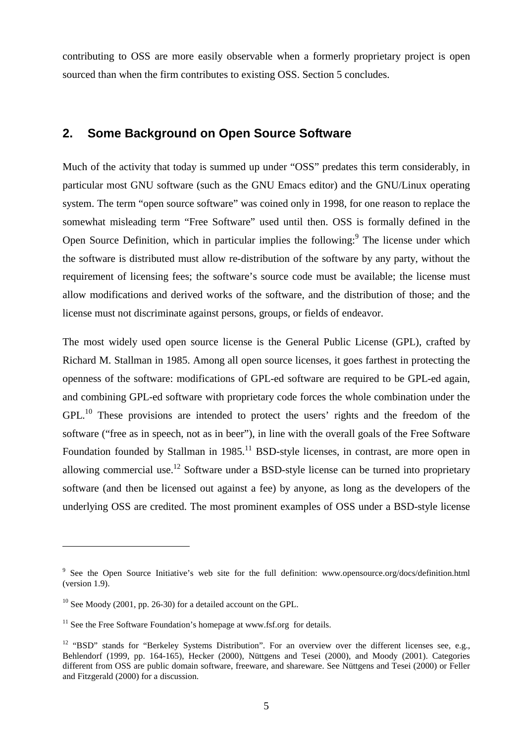contributing to OSS are more easily observable when a formerly proprietary project is open sourced than when the firm contributes to existing OSS. Section 5 concludes.

#### **2. Some Background on Open Source Software**

Much of the activity that today is summed up under "OSS" predates this term considerably, in particular most GNU software (such as the GNU Emacs editor) and the GNU/Linux operating system. The term "open source software" was coined only in 1998, for one reason to replace the somewhat misleading term "Free Software" used until then. OSS is formally defined in the Open Source Definition, which in particular implies the following:<sup>9</sup> The license under which the software is distributed must allow re-distribution of the software by any party, without the requirement of licensing fees; the software's source code must be available; the license must allow modifications and derived works of the software, and the distribution of those; and the license must not discriminate against persons, groups, or fields of endeavor.

The most widely used open source license is the General Public License (GPL), crafted by Richard M. Stallman in 1985. Among all open source licenses, it goes farthest in protecting the openness of the software: modifications of GPL-ed software are required to be GPL-ed again, and combining GPL-ed software with proprietary code forces the whole combination under the  $GPL<sup>10</sup>$  These provisions are intended to protect the users' rights and the freedom of the software ("free as in speech, not as in beer"), in line with the overall goals of the Free Software Foundation founded by Stallman in  $1985$ .<sup>11</sup> BSD-style licenses, in contrast, are more open in allowing commercial use.<sup>12</sup> Software under a BSD-style license can be turned into proprietary software (and then be licensed out against a fee) by anyone, as long as the developers of the underlying OSS are credited. The most prominent examples of OSS under a BSD-style license

<sup>&</sup>lt;sup>9</sup> See the Open Source Initiative's web site for the full definition: www.opensource.org/docs/definition.html (version 1.9).

 $10$  See Moody (2001, pp. 26-30) for a detailed account on the GPL.

 $11$  See the Free Software Foundation's homepage at www.fsf.org for details.

<sup>&</sup>lt;sup>12</sup> "BSD" stands for "Berkeley Systems Distribution". For an overview over the different licenses see, e.g., Behlendorf (1999, pp. 164-165), Hecker (2000), Nüttgens and Tesei (2000), and Moody (2001). Categories different from OSS are public domain software, freeware, and shareware. See Nüttgens and Tesei (2000) or Feller and Fitzgerald (2000) for a discussion.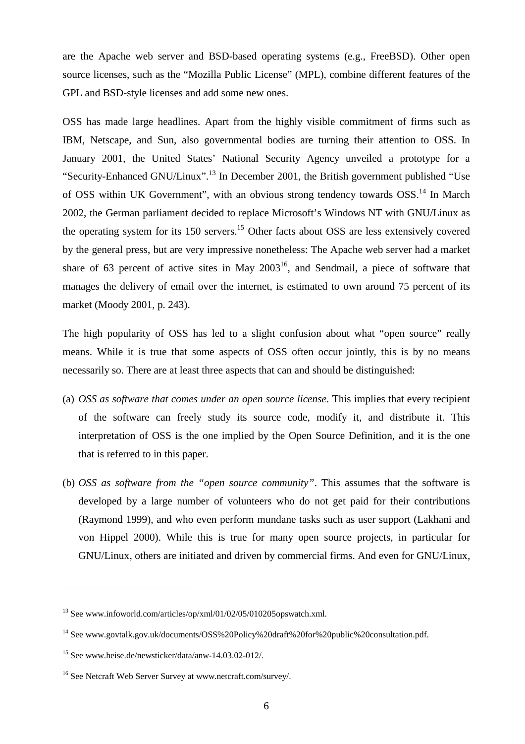are the Apache web server and BSD-based operating systems (e.g., FreeBSD). Other open source licenses, such as the "Mozilla Public License" (MPL), combine different features of the GPL and BSD-style licenses and add some new ones.

OSS has made large headlines. Apart from the highly visible commitment of firms such as IBM, Netscape, and Sun, also governmental bodies are turning their attention to OSS. In January 2001, the United States' National Security Agency unveiled a prototype for a "Security-Enhanced GNU/Linux".13 In December 2001, the British government published "Use of OSS within UK Government", with an obvious strong tendency towards OSS.<sup>14</sup> In March 2002, the German parliament decided to replace Microsoft's Windows NT with GNU/Linux as the operating system for its 150 servers.<sup>15</sup> Other facts about OSS are less extensively covered by the general press, but are very impressive nonetheless: The Apache web server had a market share of 63 percent of active sites in May  $2003^{16}$ , and Sendmail, a piece of software that manages the delivery of email over the internet, is estimated to own around 75 percent of its market (Moody 2001, p. 243).

The high popularity of OSS has led to a slight confusion about what "open source" really means. While it is true that some aspects of OSS often occur jointly, this is by no means necessarily so. There are at least three aspects that can and should be distinguished:

- (a) *OSS as software that comes under an open source license*. This implies that every recipient of the software can freely study its source code, modify it, and distribute it. This interpretation of OSS is the one implied by the Open Source Definition, and it is the one that is referred to in this paper.
- (b) *OSS as software from the "open source community"*. This assumes that the software is developed by a large number of volunteers who do not get paid for their contributions (Raymond 1999), and who even perform mundane tasks such as user support (Lakhani and von Hippel 2000). While this is true for many open source projects, in particular for GNU/Linux, others are initiated and driven by commercial firms. And even for GNU/Linux,

<sup>&</sup>lt;sup>13</sup> See www.infoworld.com/articles/op/xml/01/02/05/010205opswatch.xml.

<sup>&</sup>lt;sup>14</sup> See www.govtalk.gov.uk/documents/OSS%20Policy%20draft%20for%20public%20consultation.pdf.

<sup>15</sup> See www.heise.de/newsticker/data/anw-14.03.02-012/.

<sup>&</sup>lt;sup>16</sup> See Netcraft Web Server Survey at www.netcraft.com/survey/.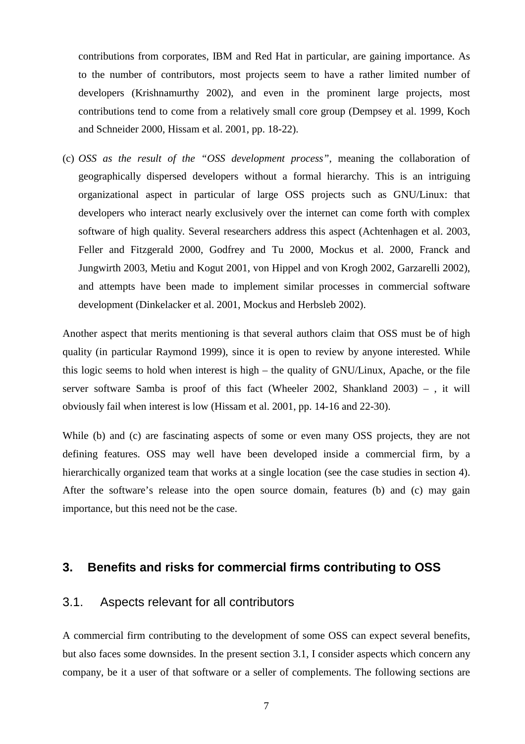contributions from corporates, IBM and Red Hat in particular, are gaining importance. As to the number of contributors, most projects seem to have a rather limited number of developers (Krishnamurthy 2002), and even in the prominent large projects, most contributions tend to come from a relatively small core group (Dempsey et al. 1999, Koch and Schneider 2000, Hissam et al. 2001, pp. 18-22).

(c) *OSS as the result of the "OSS development process"*, meaning the collaboration of geographically dispersed developers without a formal hierarchy. This is an intriguing organizational aspect in particular of large OSS projects such as GNU/Linux: that developers who interact nearly exclusively over the internet can come forth with complex software of high quality. Several researchers address this aspect (Achtenhagen et al. 2003, Feller and Fitzgerald 2000, Godfrey and Tu 2000, Mockus et al. 2000, Franck and Jungwirth 2003, Metiu and Kogut 2001, von Hippel and von Krogh 2002, Garzarelli 2002), and attempts have been made to implement similar processes in commercial software development (Dinkelacker et al. 2001, Mockus and Herbsleb 2002).

Another aspect that merits mentioning is that several authors claim that OSS must be of high quality (in particular Raymond 1999), since it is open to review by anyone interested. While this logic seems to hold when interest is high – the quality of GNU/Linux, Apache, or the file server software Samba is proof of this fact (Wheeler 2002, Shankland 2003) – , it will obviously fail when interest is low (Hissam et al. 2001, pp. 14-16 and 22-30).

While (b) and (c) are fascinating aspects of some or even many OSS projects, they are not defining features. OSS may well have been developed inside a commercial firm, by a hierarchically organized team that works at a single location (see the case studies in section 4). After the software's release into the open source domain, features (b) and (c) may gain importance, but this need not be the case.

### **3. Benefits and risks for commercial firms contributing to OSS**

#### 3.1. Aspects relevant for all contributors

A commercial firm contributing to the development of some OSS can expect several benefits, but also faces some downsides. In the present section 3.1, I consider aspects which concern any company, be it a user of that software or a seller of complements. The following sections are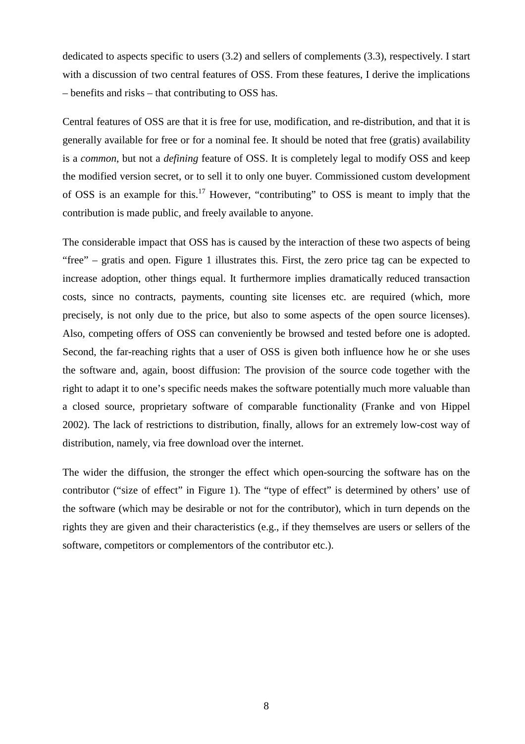dedicated to aspects specific to users (3.2) and sellers of complements (3.3), respectively. I start with a discussion of two central features of OSS. From these features, I derive the implications – benefits and risks – that contributing to OSS has.

Central features of OSS are that it is free for use, modification, and re-distribution, and that it is generally available for free or for a nominal fee. It should be noted that free (gratis) availability is a *common*, but not a *defining* feature of OSS. It is completely legal to modify OSS and keep the modified version secret, or to sell it to only one buyer. Commissioned custom development of OSS is an example for this.17 However, "contributing" to OSS is meant to imply that the contribution is made public, and freely available to anyone.

The considerable impact that OSS has is caused by the interaction of these two aspects of being "free" – gratis and open. Figure 1 illustrates this. First, the zero price tag can be expected to increase adoption, other things equal. It furthermore implies dramatically reduced transaction costs, since no contracts, payments, counting site licenses etc. are required (which, more precisely, is not only due to the price, but also to some aspects of the open source licenses). Also, competing offers of OSS can conveniently be browsed and tested before one is adopted. Second, the far-reaching rights that a user of OSS is given both influence how he or she uses the software and, again, boost diffusion: The provision of the source code together with the right to adapt it to one's specific needs makes the software potentially much more valuable than a closed source, proprietary software of comparable functionality (Franke and von Hippel 2002). The lack of restrictions to distribution, finally, allows for an extremely low-cost way of distribution, namely, via free download over the internet.

The wider the diffusion, the stronger the effect which open-sourcing the software has on the contributor ("size of effect" in Figure 1). The "type of effect" is determined by others' use of the software (which may be desirable or not for the contributor), which in turn depends on the rights they are given and their characteristics (e.g., if they themselves are users or sellers of the software, competitors or complementors of the contributor etc.).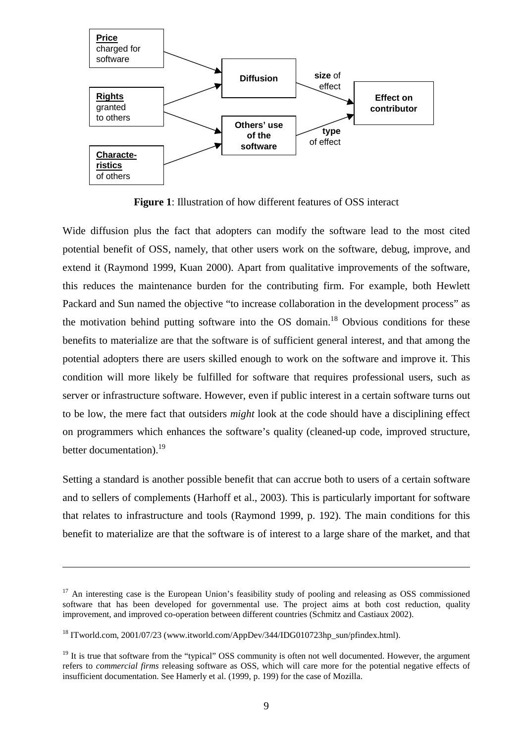

**Figure 1**: Illustration of how different features of OSS interact

Wide diffusion plus the fact that adopters can modify the software lead to the most cited potential benefit of OSS, namely, that other users work on the software, debug, improve, and extend it (Raymond 1999, Kuan 2000). Apart from qualitative improvements of the software, this reduces the maintenance burden for the contributing firm. For example, both Hewlett Packard and Sun named the objective "to increase collaboration in the development process" as the motivation behind putting software into the  $OS$  domain.<sup>18</sup> Obvious conditions for these benefits to materialize are that the software is of sufficient general interest, and that among the potential adopters there are users skilled enough to work on the software and improve it. This condition will more likely be fulfilled for software that requires professional users, such as server or infrastructure software. However, even if public interest in a certain software turns out to be low, the mere fact that outsiders *might* look at the code should have a disciplining effect on programmers which enhances the software's quality (cleaned-up code, improved structure, better documentation). $19$ 

Setting a standard is another possible benefit that can accrue both to users of a certain software and to sellers of complements (Harhoff et al., 2003). This is particularly important for software that relates to infrastructure and tools (Raymond 1999, p. 192). The main conditions for this benefit to materialize are that the software is of interest to a large share of the market, and that

<sup>&</sup>lt;sup>17</sup> An interesting case is the European Union's feasibility study of pooling and releasing as OSS commissioned software that has been developed for governmental use. The project aims at both cost reduction, quality improvement, and improved co-operation between different countries (Schmitz and Castiaux 2002).

<sup>&</sup>lt;sup>18</sup> ITworld.com, 2001/07/23 (www.itworld.com/AppDev/344/IDG010723hp\_sun/pfindex.html).

 $19$  It is true that software from the "typical" OSS community is often not well documented. However, the argument refers to *commercial firms* releasing software as OSS, which will care more for the potential negative effects of insufficient documentation. See Hamerly et al. (1999, p. 199) for the case of Mozilla.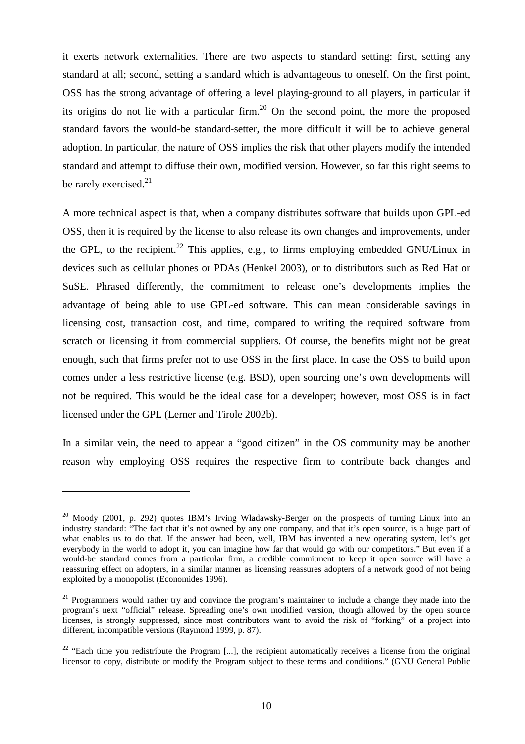it exerts network externalities. There are two aspects to standard setting: first, setting any standard at all; second, setting a standard which is advantageous to oneself. On the first point, OSS has the strong advantage of offering a level playing-ground to all players, in particular if its origins do not lie with a particular firm.<sup>20</sup> On the second point, the more the proposed standard favors the would-be standard-setter, the more difficult it will be to achieve general adoption. In particular, the nature of OSS implies the risk that other players modify the intended standard and attempt to diffuse their own, modified version. However, so far this right seems to be rarely exercised. $21$ 

A more technical aspect is that, when a company distributes software that builds upon GPL-ed OSS, then it is required by the license to also release its own changes and improvements, under the GPL, to the recipient.<sup>22</sup> This applies, e.g., to firms employing embedded GNU/Linux in devices such as cellular phones or PDAs (Henkel 2003), or to distributors such as Red Hat or SuSE. Phrased differently, the commitment to release one's developments implies the advantage of being able to use GPL-ed software. This can mean considerable savings in licensing cost, transaction cost, and time, compared to writing the required software from scratch or licensing it from commercial suppliers. Of course, the benefits might not be great enough, such that firms prefer not to use OSS in the first place. In case the OSS to build upon comes under a less restrictive license (e.g. BSD), open sourcing one's own developments will not be required. This would be the ideal case for a developer; however, most OSS is in fact licensed under the GPL (Lerner and Tirole 2002b).

In a similar vein, the need to appear a "good citizen" in the OS community may be another reason why employing OSS requires the respective firm to contribute back changes and

 $^{20}$  Moody (2001, p. 292) quotes IBM's Irving Wladawsky-Berger on the prospects of turning Linux into an industry standard: "The fact that it's not owned by any one company, and that it's open source, is a huge part of what enables us to do that. If the answer had been, well, IBM has invented a new operating system, let's get everybody in the world to adopt it, you can imagine how far that would go with our competitors." But even if a would-be standard comes from a particular firm, a credible commitment to keep it open source will have a reassuring effect on adopters, in a similar manner as licensing reassures adopters of a network good of not being exploited by a monopolist (Economides 1996).

<sup>&</sup>lt;sup>21</sup> Programmers would rather try and convince the program's maintainer to include a change they made into the program's next "official" release. Spreading one's own modified version, though allowed by the open source licenses, is strongly suppressed, since most contributors want to avoid the risk of "forking" of a project into different, incompatible versions (Raymond 1999, p. 87).

<sup>&</sup>lt;sup>22</sup> "Each time you redistribute the Program [...], the recipient automatically receives a license from the original licensor to copy, distribute or modify the Program subject to these terms and conditions." (GNU General Public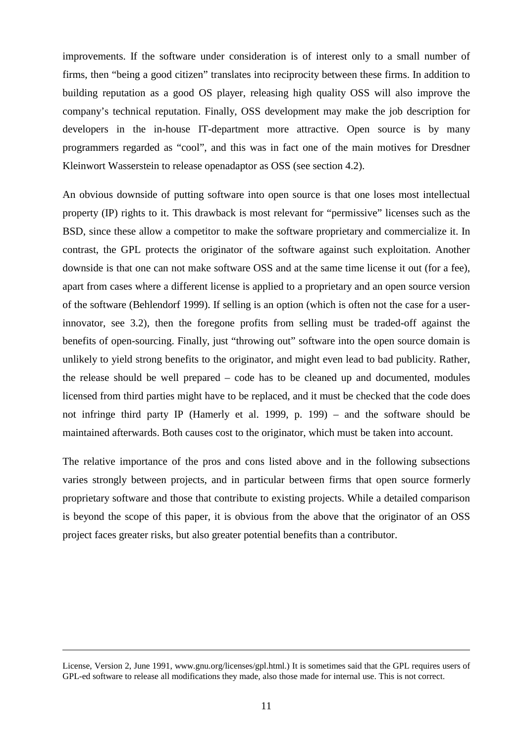improvements. If the software under consideration is of interest only to a small number of firms, then "being a good citizen" translates into reciprocity between these firms. In addition to building reputation as a good OS player, releasing high quality OSS will also improve the company's technical reputation. Finally, OSS development may make the job description for developers in the in-house IT-department more attractive. Open source is by many programmers regarded as "cool", and this was in fact one of the main motives for Dresdner Kleinwort Wasserstein to release openadaptor as OSS (see section 4.2).

An obvious downside of putting software into open source is that one loses most intellectual property (IP) rights to it. This drawback is most relevant for "permissive" licenses such as the BSD, since these allow a competitor to make the software proprietary and commercialize it. In contrast, the GPL protects the originator of the software against such exploitation. Another downside is that one can not make software OSS and at the same time license it out (for a fee), apart from cases where a different license is applied to a proprietary and an open source version of the software (Behlendorf 1999). If selling is an option (which is often not the case for a userinnovator, see 3.2), then the foregone profits from selling must be traded-off against the benefits of open-sourcing. Finally, just "throwing out" software into the open source domain is unlikely to yield strong benefits to the originator, and might even lead to bad publicity. Rather, the release should be well prepared – code has to be cleaned up and documented, modules licensed from third parties might have to be replaced, and it must be checked that the code does not infringe third party IP (Hamerly et al. 1999, p. 199) – and the software should be maintained afterwards. Both causes cost to the originator, which must be taken into account.

The relative importance of the pros and cons listed above and in the following subsections varies strongly between projects, and in particular between firms that open source formerly proprietary software and those that contribute to existing projects. While a detailed comparison is beyond the scope of this paper, it is obvious from the above that the originator of an OSS project faces greater risks, but also greater potential benefits than a contributor.

License, Version 2, June 1991, www.gnu.org/licenses/gpl.html.) It is sometimes said that the GPL requires users of GPL-ed software to release all modifications they made, also those made for internal use. This is not correct.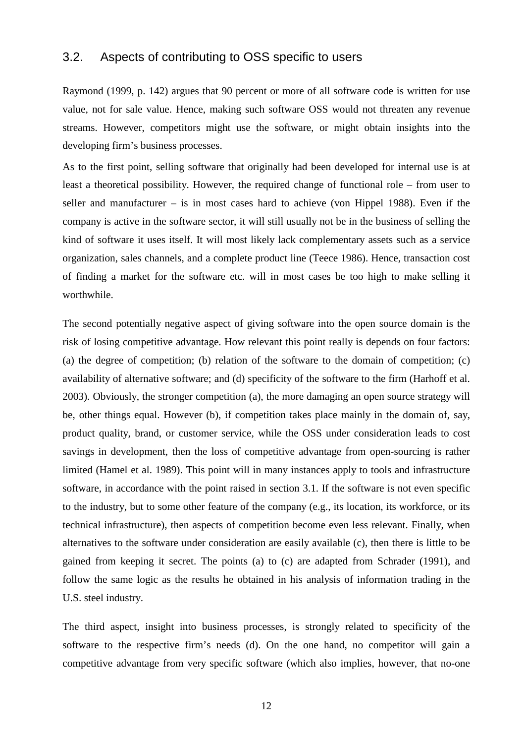#### 3.2. Aspects of contributing to OSS specific to users

Raymond (1999, p. 142) argues that 90 percent or more of all software code is written for use value, not for sale value. Hence, making such software OSS would not threaten any revenue streams. However, competitors might use the software, or might obtain insights into the developing firm's business processes.

As to the first point, selling software that originally had been developed for internal use is at least a theoretical possibility. However, the required change of functional role – from user to seller and manufacturer – is in most cases hard to achieve (von Hippel 1988). Even if the company is active in the software sector, it will still usually not be in the business of selling the kind of software it uses itself. It will most likely lack complementary assets such as a service organization, sales channels, and a complete product line (Teece 1986). Hence, transaction cost of finding a market for the software etc. will in most cases be too high to make selling it worthwhile.

The second potentially negative aspect of giving software into the open source domain is the risk of losing competitive advantage. How relevant this point really is depends on four factors: (a) the degree of competition; (b) relation of the software to the domain of competition; (c) availability of alternative software; and (d) specificity of the software to the firm (Harhoff et al. 2003). Obviously, the stronger competition (a), the more damaging an open source strategy will be, other things equal. However (b), if competition takes place mainly in the domain of, say, product quality, brand, or customer service, while the OSS under consideration leads to cost savings in development, then the loss of competitive advantage from open-sourcing is rather limited (Hamel et al. 1989). This point will in many instances apply to tools and infrastructure software, in accordance with the point raised in section 3.1. If the software is not even specific to the industry, but to some other feature of the company (e.g., its location, its workforce, or its technical infrastructure), then aspects of competition become even less relevant. Finally, when alternatives to the software under consideration are easily available (c), then there is little to be gained from keeping it secret. The points (a) to (c) are adapted from Schrader (1991), and follow the same logic as the results he obtained in his analysis of information trading in the U.S. steel industry.

The third aspect, insight into business processes, is strongly related to specificity of the software to the respective firm's needs (d). On the one hand, no competitor will gain a competitive advantage from very specific software (which also implies, however, that no-one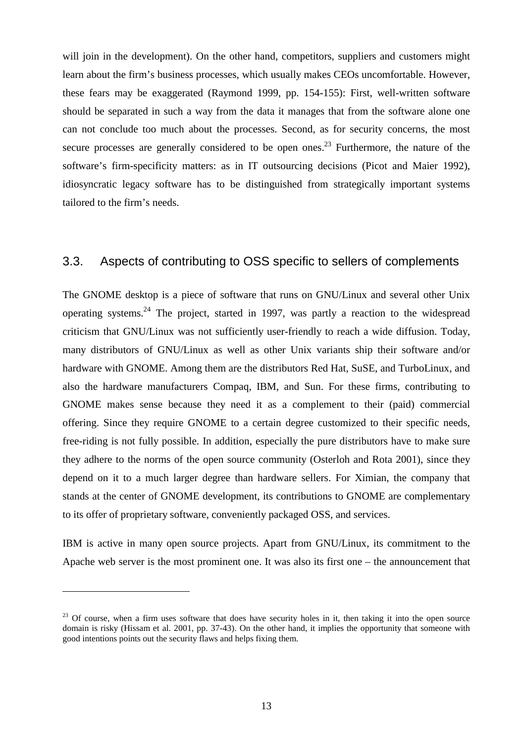will join in the development). On the other hand, competitors, suppliers and customers might learn about the firm's business processes, which usually makes CEOs uncomfortable. However, these fears may be exaggerated (Raymond 1999, pp. 154-155): First, well-written software should be separated in such a way from the data it manages that from the software alone one can not conclude too much about the processes. Second, as for security concerns, the most secure processes are generally considered to be open ones.<sup>23</sup> Furthermore, the nature of the software's firm-specificity matters: as in IT outsourcing decisions (Picot and Maier 1992), idiosyncratic legacy software has to be distinguished from strategically important systems tailored to the firm's needs.

#### 3.3. Aspects of contributing to OSS specific to sellers of complements

The GNOME desktop is a piece of software that runs on GNU/Linux and several other Unix operating systems.<sup>24</sup> The project, started in 1997, was partly a reaction to the widespread criticism that GNU/Linux was not sufficiently user-friendly to reach a wide diffusion. Today, many distributors of GNU/Linux as well as other Unix variants ship their software and/or hardware with GNOME. Among them are the distributors Red Hat, SuSE, and TurboLinux, and also the hardware manufacturers Compaq, IBM, and Sun. For these firms, contributing to GNOME makes sense because they need it as a complement to their (paid) commercial offering. Since they require GNOME to a certain degree customized to their specific needs, free-riding is not fully possible. In addition, especially the pure distributors have to make sure they adhere to the norms of the open source community (Osterloh and Rota 2001), since they depend on it to a much larger degree than hardware sellers. For Ximian, the company that stands at the center of GNOME development, its contributions to GNOME are complementary to its offer of proprietary software, conveniently packaged OSS, and services.

IBM is active in many open source projects. Apart from GNU/Linux, its commitment to the Apache web server is the most prominent one. It was also its first one – the announcement that

<sup>&</sup>lt;sup>23</sup> Of course, when a firm uses software that does have security holes in it, then taking it into the open source domain is risky (Hissam et al. 2001, pp. 37-43). On the other hand, it implies the opportunity that someone with good intentions points out the security flaws and helps fixing them.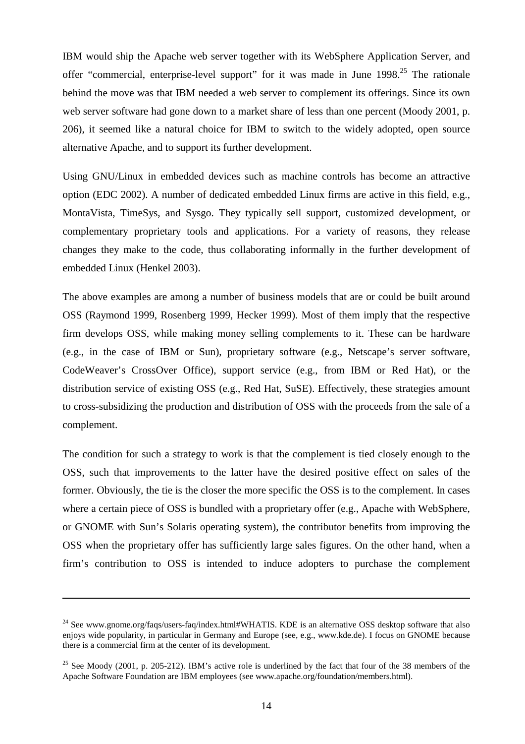IBM would ship the Apache web server together with its WebSphere Application Server, and offer "commercial, enterprise-level support" for it was made in June 1998.<sup>25</sup> The rationale behind the move was that IBM needed a web server to complement its offerings. Since its own web server software had gone down to a market share of less than one percent (Moody 2001, p. 206), it seemed like a natural choice for IBM to switch to the widely adopted, open source alternative Apache, and to support its further development.

Using GNU/Linux in embedded devices such as machine controls has become an attractive option (EDC 2002). A number of dedicated embedded Linux firms are active in this field, e.g., MontaVista, TimeSys, and Sysgo. They typically sell support, customized development, or complementary proprietary tools and applications. For a variety of reasons, they release changes they make to the code, thus collaborating informally in the further development of embedded Linux (Henkel 2003).

The above examples are among a number of business models that are or could be built around OSS (Raymond 1999, Rosenberg 1999, Hecker 1999). Most of them imply that the respective firm develops OSS, while making money selling complements to it. These can be hardware (e.g., in the case of IBM or Sun), proprietary software (e.g., Netscape's server software, CodeWeaver's CrossOver Office), support service (e.g., from IBM or Red Hat), or the distribution service of existing OSS (e.g., Red Hat, SuSE). Effectively, these strategies amount to cross-subsidizing the production and distribution of OSS with the proceeds from the sale of a complement.

The condition for such a strategy to work is that the complement is tied closely enough to the OSS, such that improvements to the latter have the desired positive effect on sales of the former. Obviously, the tie is the closer the more specific the OSS is to the complement. In cases where a certain piece of OSS is bundled with a proprietary offer (e.g., Apache with WebSphere, or GNOME with Sun's Solaris operating system), the contributor benefits from improving the OSS when the proprietary offer has sufficiently large sales figures. On the other hand, when a firm's contribution to OSS is intended to induce adopters to purchase the complement

<sup>&</sup>lt;sup>24</sup> See www.gnome.org/faqs/users-faq/index.html#WHATIS. KDE is an alternative OSS desktop software that also enjoys wide popularity, in particular in Germany and Europe (see, e.g., www.kde.de). I focus on GNOME because there is a commercial firm at the center of its development.

<sup>&</sup>lt;sup>25</sup> See Moody (2001, p. 205-212). IBM's active role is underlined by the fact that four of the 38 members of the Apache Software Foundation are IBM employees (see www.apache.org/foundation/members.html).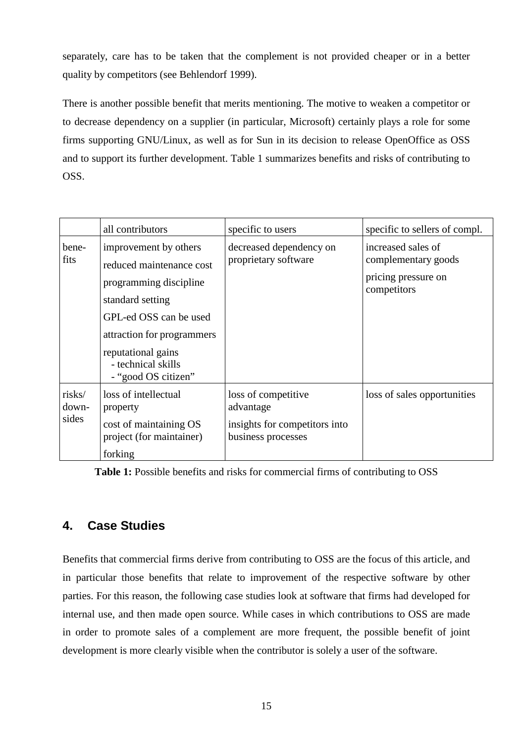separately, care has to be taken that the complement is not provided cheaper or in a better quality by competitors (see Behlendorf 1999).

There is another possible benefit that merits mentioning. The motive to weaken a competitor or to decrease dependency on a supplier (in particular, Microsoft) certainly plays a role for some firms supporting GNU/Linux, as well as for Sun in its decision to release OpenOffice as OSS and to support its further development. Table 1 summarizes benefits and risks of contributing to OSS.

|                          | all contributors                                                                                                                                                                                                           | specific to users                                                                       | specific to sellers of compl.                                                   |
|--------------------------|----------------------------------------------------------------------------------------------------------------------------------------------------------------------------------------------------------------------------|-----------------------------------------------------------------------------------------|---------------------------------------------------------------------------------|
| bene-<br>fits            | improvement by others<br>reduced maintenance cost<br>programming discipline<br>standard setting<br>GPL-ed OSS can be used<br>attraction for programmers<br>reputational gains<br>- technical skills<br>- "good OS citizen" | decreased dependency on<br>proprietary software                                         | increased sales of<br>complementary goods<br>pricing pressure on<br>competitors |
| risks/<br>down-<br>sides | loss of intellectual<br>property<br>cost of maintaining OS<br>project (for maintainer)<br>forking                                                                                                                          | loss of competitive<br>advantage<br>insights for competitors into<br>business processes | loss of sales opportunities                                                     |

**Table 1:** Possible benefits and risks for commercial firms of contributing to OSS

### **4. Case Studies**

Benefits that commercial firms derive from contributing to OSS are the focus of this article, and in particular those benefits that relate to improvement of the respective software by other parties. For this reason, the following case studies look at software that firms had developed for internal use, and then made open source. While cases in which contributions to OSS are made in order to promote sales of a complement are more frequent, the possible benefit of joint development is more clearly visible when the contributor is solely a user of the software.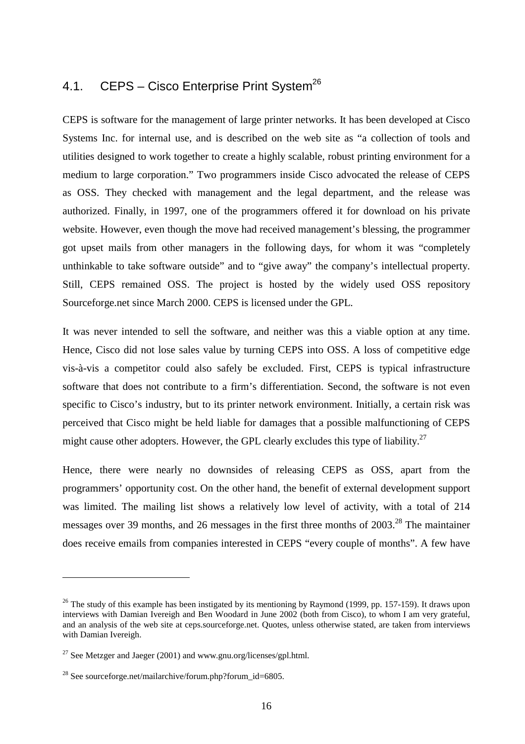## 4.1. CEPS – Cisco Enterprise Print System<sup>26</sup>

CEPS is software for the management of large printer networks. It has been developed at Cisco Systems Inc. for internal use, and is described on the web site as "a collection of tools and utilities designed to work together to create a highly scalable, robust printing environment for a medium to large corporation." Two programmers inside Cisco advocated the release of CEPS as OSS. They checked with management and the legal department, and the release was authorized. Finally, in 1997, one of the programmers offered it for download on his private website. However, even though the move had received management's blessing, the programmer got upset mails from other managers in the following days, for whom it was "completely unthinkable to take software outside" and to "give away" the company's intellectual property. Still, CEPS remained OSS. The project is hosted by the widely used OSS repository Sourceforge.net since March 2000. CEPS is licensed under the GPL.

It was never intended to sell the software, and neither was this a viable option at any time. Hence, Cisco did not lose sales value by turning CEPS into OSS. A loss of competitive edge vis-à-vis a competitor could also safely be excluded. First, CEPS is typical infrastructure software that does not contribute to a firm's differentiation. Second, the software is not even specific to Cisco's industry, but to its printer network environment. Initially, a certain risk was perceived that Cisco might be held liable for damages that a possible malfunctioning of CEPS might cause other adopters. However, the GPL clearly excludes this type of liability.<sup>27</sup>

Hence, there were nearly no downsides of releasing CEPS as OSS, apart from the programmers' opportunity cost. On the other hand, the benefit of external development support was limited. The mailing list shows a relatively low level of activity, with a total of 214 messages over 39 months, and 26 messages in the first three months of  $2003<sup>28</sup>$ . The maintainer does receive emails from companies interested in CEPS "every couple of months". A few have

<sup>&</sup>lt;sup>26</sup> The study of this example has been instigated by its mentioning by Raymond (1999, pp. 157-159). It draws upon interviews with Damian Ivereigh and Ben Woodard in June 2002 (both from Cisco), to whom I am very grateful, and an analysis of the web site at ceps.sourceforge.net. Quotes, unless otherwise stated, are taken from interviews with Damian Ivereigh.

 $^{27}$  See Metzger and Jaeger (2001) and www.gnu.org/licenses/gpl.html.

<sup>&</sup>lt;sup>28</sup> See sourceforge.net/mailarchive/forum.php?forum\_id=6805.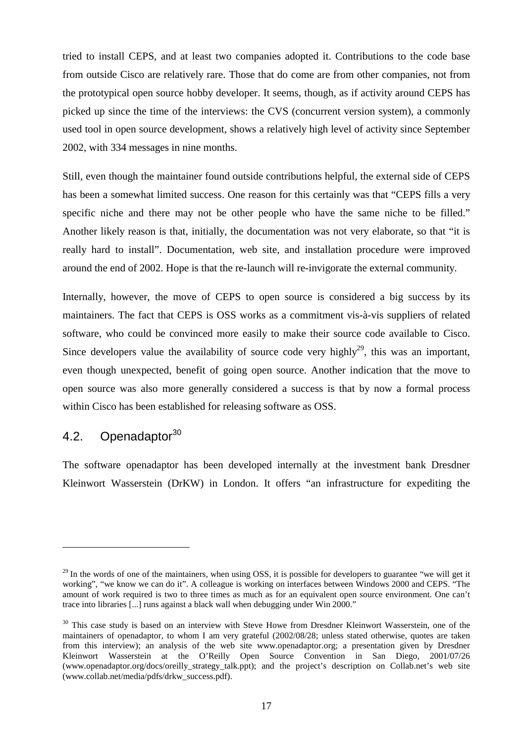tried to install CEPS, and at least two companies adopted it. Contributions to the code base from outside Cisco are relatively rare. Those that do come are from other companies, not from the prototypical open source hobby developer. It seems, though, as if activity around CEPS has picked up since the time of the interviews: the CVS (concurrent version system), a commonly used tool in open source development, shows a relatively high level of activity since September 2002, with 334 messages in nine months.

Still, even though the maintainer found outside contributions helpful, the external side of CEPS has been a somewhat limited success. One reason for this certainly was that "CEPS fills a very specific niche and there may not be other people who have the same niche to be filled." Another likely reason is that, initially, the documentation was not very elaborate, so that "it is really hard to install". Documentation, web site, and installation procedure were improved around the end of 2002. Hope is that the re-launch will re-invigorate the external community.

Internally, however, the move of CEPS to open source is considered a big success by its maintainers. The fact that CEPS is OSS works as a commitment vis-à-vis suppliers of related software, who could be convinced more easily to make their source code available to Cisco. Since developers value the availability of source code very highly<sup>29</sup>, this was an important, even though unexpected, benefit of going open source. Another indication that the move to open source was also more generally considered a success is that by now a formal process within Cisco has been established for releasing software as OSS.

## 4.2. Openadaptor<sup>30</sup>

 $\overline{a}$ 

The software openadaptor has been developed internally at the investment bank Dresdner Kleinwort Wasserstein (DrKW) in London. It offers "an infrastructure for expediting the

 $29$  In the words of one of the maintainers, when using OSS, it is possible for developers to guarantee "we will get it working", "we know we can do it". A colleague is working on interfaces between Windows 2000 and CEPS. "The amount of work required is two to three times as much as for an equivalent open source environment. One can't trace into libraries [...] runs against a black wall when debugging under Win 2000."

<sup>&</sup>lt;sup>30</sup> This case study is based on an interview with Steve Howe from Dresdner Kleinwort Wasserstein, one of the maintainers of openadaptor, to whom I am very grateful (2002/08/28; unless stated otherwise, quotes are taken from this interview); an analysis of the web site www.openadaptor.org; a presentation given by Dresdner Kleinwort Wasserstein at the O'Reilly Open Source Convention in San Diego, 2001/07/26 (www.openadaptor.org/docs/oreilly\_strategy\_talk.ppt); and the project's description on Collab.net's web site (www.collab.net/media/pdfs/drkw\_success.pdf).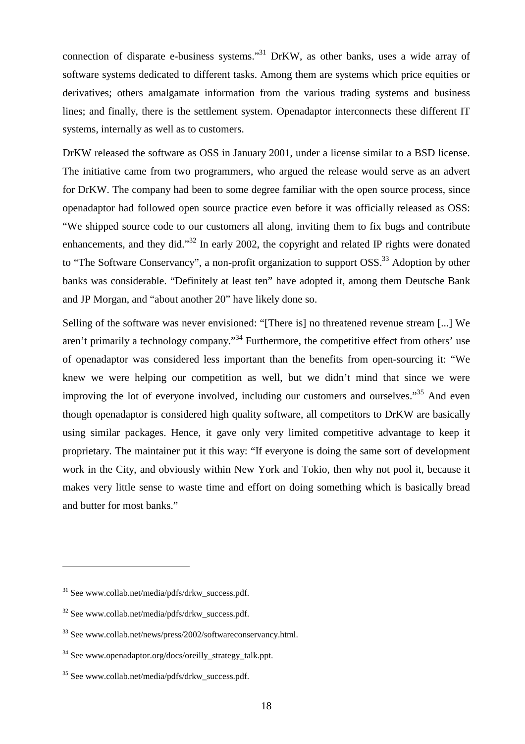connection of disparate e-business systems."<sup>31</sup> DrKW, as other banks, uses a wide array of software systems dedicated to different tasks. Among them are systems which price equities or derivatives; others amalgamate information from the various trading systems and business lines; and finally, there is the settlement system. Openadaptor interconnects these different IT systems, internally as well as to customers.

DrKW released the software as OSS in January 2001, under a license similar to a BSD license. The initiative came from two programmers, who argued the release would serve as an advert for DrKW. The company had been to some degree familiar with the open source process, since openadaptor had followed open source practice even before it was officially released as OSS: "We shipped source code to our customers all along, inviting them to fix bugs and contribute enhancements, and they did."<sup>32</sup> In early 2002, the copyright and related IP rights were donated to "The Software Conservancy", a non-profit organization to support OSS.<sup>33</sup> Adoption by other banks was considerable. "Definitely at least ten" have adopted it, among them Deutsche Bank and JP Morgan, and "about another 20" have likely done so.

Selling of the software was never envisioned: "[There is] no threatened revenue stream [...] We aren't primarily a technology company."<sup>34</sup> Furthermore, the competitive effect from others' use of openadaptor was considered less important than the benefits from open-sourcing it: "We knew we were helping our competition as well, but we didn't mind that since we were improving the lot of everyone involved, including our customers and ourselves.<sup>35</sup> And even though openadaptor is considered high quality software, all competitors to DrKW are basically using similar packages. Hence, it gave only very limited competitive advantage to keep it proprietary. The maintainer put it this way: "If everyone is doing the same sort of development work in the City, and obviously within New York and Tokio, then why not pool it, because it makes very little sense to waste time and effort on doing something which is basically bread and butter for most banks."

 $31$  See www.collab.net/media/pdfs/drkw\_success.pdf.

 $32$  See www.collab.net/media/pdfs/drkw\_success.pdf.

 $33$  See www.collab.net/news/press/2002/softwareconservancy.html.

<sup>34</sup> See www.openadaptor.org/docs/oreilly\_strategy\_talk.ppt.

<sup>&</sup>lt;sup>35</sup> See www.collab.net/media/pdfs/drkw\_success.pdf.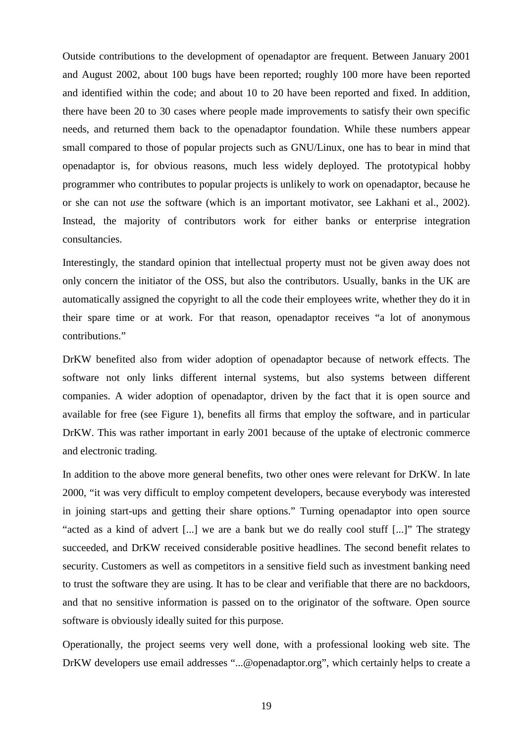Outside contributions to the development of openadaptor are frequent. Between January 2001 and August 2002, about 100 bugs have been reported; roughly 100 more have been reported and identified within the code; and about 10 to 20 have been reported and fixed. In addition, there have been 20 to 30 cases where people made improvements to satisfy their own specific needs, and returned them back to the openadaptor foundation. While these numbers appear small compared to those of popular projects such as GNU/Linux, one has to bear in mind that openadaptor is, for obvious reasons, much less widely deployed. The prototypical hobby programmer who contributes to popular projects is unlikely to work on openadaptor, because he or she can not *use* the software (which is an important motivator, see Lakhani et al., 2002). Instead, the majority of contributors work for either banks or enterprise integration consultancies.

Interestingly, the standard opinion that intellectual property must not be given away does not only concern the initiator of the OSS, but also the contributors. Usually, banks in the UK are automatically assigned the copyright to all the code their employees write, whether they do it in their spare time or at work. For that reason, openadaptor receives "a lot of anonymous contributions."

DrKW benefited also from wider adoption of openadaptor because of network effects. The software not only links different internal systems, but also systems between different companies. A wider adoption of openadaptor, driven by the fact that it is open source and available for free (see Figure 1), benefits all firms that employ the software, and in particular DrKW. This was rather important in early 2001 because of the uptake of electronic commerce and electronic trading.

In addition to the above more general benefits, two other ones were relevant for DrKW. In late 2000, "it was very difficult to employ competent developers, because everybody was interested in joining start-ups and getting their share options." Turning openadaptor into open source "acted as a kind of advert [...] we are a bank but we do really cool stuff [...]" The strategy succeeded, and DrKW received considerable positive headlines. The second benefit relates to security. Customers as well as competitors in a sensitive field such as investment banking need to trust the software they are using. It has to be clear and verifiable that there are no backdoors, and that no sensitive information is passed on to the originator of the software. Open source software is obviously ideally suited for this purpose.

Operationally, the project seems very well done, with a professional looking web site. The DrKW developers use email addresses "...@openadaptor.org", which certainly helps to create a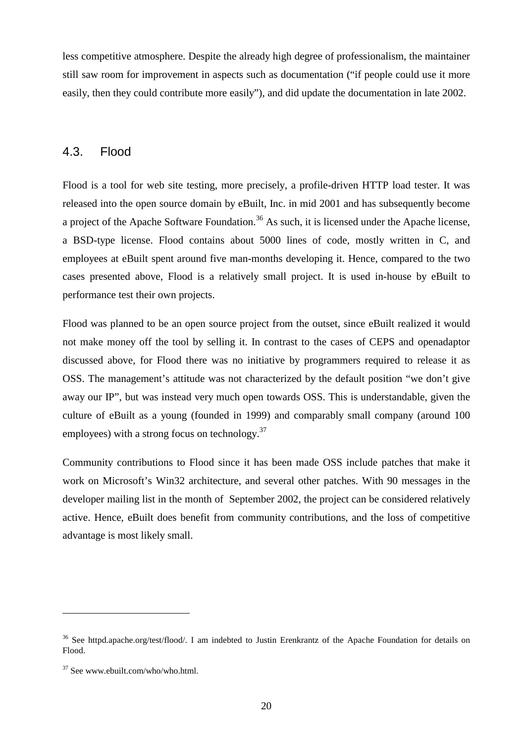less competitive atmosphere. Despite the already high degree of professionalism, the maintainer still saw room for improvement in aspects such as documentation ("if people could use it more easily, then they could contribute more easily"), and did update the documentation in late 2002.

#### 4.3. Flood

Flood is a tool for web site testing, more precisely, a profile-driven HTTP load tester. It was released into the open source domain by eBuilt, Inc. in mid 2001 and has subsequently become a project of the Apache Software Foundation.<sup>36</sup> As such, it is licensed under the Apache license, a BSD-type license. Flood contains about 5000 lines of code, mostly written in C, and employees at eBuilt spent around five man-months developing it. Hence, compared to the two cases presented above, Flood is a relatively small project. It is used in-house by eBuilt to performance test their own projects.

Flood was planned to be an open source project from the outset, since eBuilt realized it would not make money off the tool by selling it. In contrast to the cases of CEPS and openadaptor discussed above, for Flood there was no initiative by programmers required to release it as OSS. The management's attitude was not characterized by the default position "we don't give away our IP", but was instead very much open towards OSS. This is understandable, given the culture of eBuilt as a young (founded in 1999) and comparably small company (around 100 employees) with a strong focus on technology.<sup>37</sup>

Community contributions to Flood since it has been made OSS include patches that make it work on Microsoft's Win32 architecture, and several other patches. With 90 messages in the developer mailing list in the month of September 2002, the project can be considered relatively active. Hence, eBuilt does benefit from community contributions, and the loss of competitive advantage is most likely small.

<sup>&</sup>lt;sup>36</sup> See httpd.apache.org/test/flood/. I am indebted to Justin Erenkrantz of the Apache Foundation for details on Flood.

<sup>37</sup> See www.ebuilt.com/who/who.html.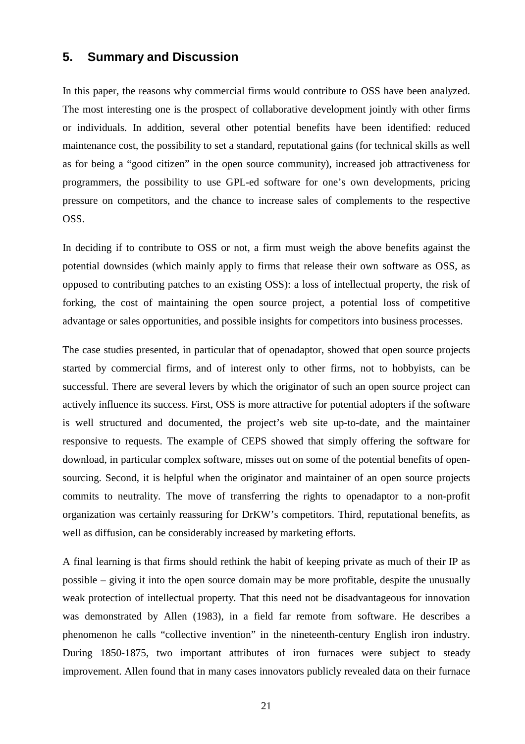#### **5. Summary and Discussion**

In this paper, the reasons why commercial firms would contribute to OSS have been analyzed. The most interesting one is the prospect of collaborative development jointly with other firms or individuals. In addition, several other potential benefits have been identified: reduced maintenance cost, the possibility to set a standard, reputational gains (for technical skills as well as for being a "good citizen" in the open source community), increased job attractiveness for programmers, the possibility to use GPL-ed software for one's own developments, pricing pressure on competitors, and the chance to increase sales of complements to the respective OSS.

In deciding if to contribute to OSS or not, a firm must weigh the above benefits against the potential downsides (which mainly apply to firms that release their own software as OSS, as opposed to contributing patches to an existing OSS): a loss of intellectual property, the risk of forking, the cost of maintaining the open source project, a potential loss of competitive advantage or sales opportunities, and possible insights for competitors into business processes.

The case studies presented, in particular that of openadaptor, showed that open source projects started by commercial firms, and of interest only to other firms, not to hobbyists, can be successful. There are several levers by which the originator of such an open source project can actively influence its success. First, OSS is more attractive for potential adopters if the software is well structured and documented, the project's web site up-to-date, and the maintainer responsive to requests. The example of CEPS showed that simply offering the software for download, in particular complex software, misses out on some of the potential benefits of opensourcing. Second, it is helpful when the originator and maintainer of an open source projects commits to neutrality. The move of transferring the rights to openadaptor to a non-profit organization was certainly reassuring for DrKW's competitors. Third, reputational benefits, as well as diffusion, can be considerably increased by marketing efforts.

A final learning is that firms should rethink the habit of keeping private as much of their IP as possible – giving it into the open source domain may be more profitable, despite the unusually weak protection of intellectual property. That this need not be disadvantageous for innovation was demonstrated by Allen (1983), in a field far remote from software. He describes a phenomenon he calls "collective invention" in the nineteenth-century English iron industry. During 1850-1875, two important attributes of iron furnaces were subject to steady improvement. Allen found that in many cases innovators publicly revealed data on their furnace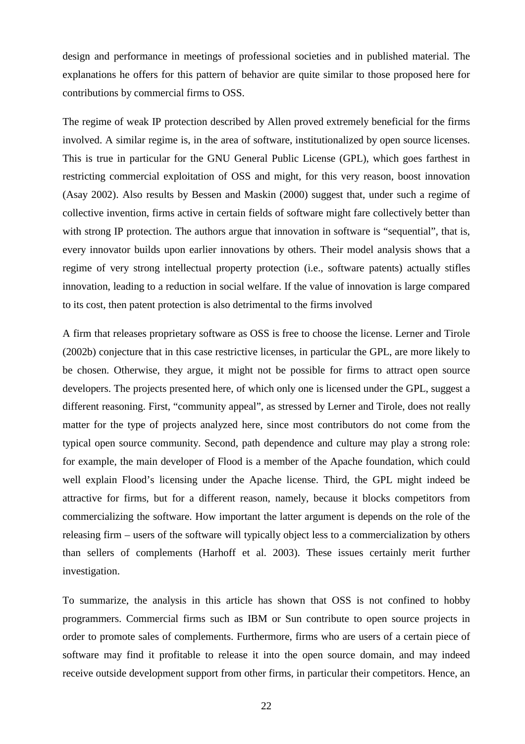design and performance in meetings of professional societies and in published material. The explanations he offers for this pattern of behavior are quite similar to those proposed here for contributions by commercial firms to OSS.

The regime of weak IP protection described by Allen proved extremely beneficial for the firms involved. A similar regime is, in the area of software, institutionalized by open source licenses. This is true in particular for the GNU General Public License (GPL), which goes farthest in restricting commercial exploitation of OSS and might, for this very reason, boost innovation (Asay 2002). Also results by Bessen and Maskin (2000) suggest that, under such a regime of collective invention, firms active in certain fields of software might fare collectively better than with strong IP protection. The authors argue that innovation in software is "sequential", that is, every innovator builds upon earlier innovations by others. Their model analysis shows that a regime of very strong intellectual property protection (i.e., software patents) actually stifles innovation, leading to a reduction in social welfare. If the value of innovation is large compared to its cost, then patent protection is also detrimental to the firms involved

A firm that releases proprietary software as OSS is free to choose the license. Lerner and Tirole (2002b) conjecture that in this case restrictive licenses, in particular the GPL, are more likely to be chosen. Otherwise, they argue, it might not be possible for firms to attract open source developers. The projects presented here, of which only one is licensed under the GPL, suggest a different reasoning. First, "community appeal", as stressed by Lerner and Tirole, does not really matter for the type of projects analyzed here, since most contributors do not come from the typical open source community. Second, path dependence and culture may play a strong role: for example, the main developer of Flood is a member of the Apache foundation, which could well explain Flood's licensing under the Apache license. Third, the GPL might indeed be attractive for firms, but for a different reason, namely, because it blocks competitors from commercializing the software. How important the latter argument is depends on the role of the releasing firm – users of the software will typically object less to a commercialization by others than sellers of complements (Harhoff et al. 2003). These issues certainly merit further investigation.

To summarize, the analysis in this article has shown that OSS is not confined to hobby programmers. Commercial firms such as IBM or Sun contribute to open source projects in order to promote sales of complements. Furthermore, firms who are users of a certain piece of software may find it profitable to release it into the open source domain, and may indeed receive outside development support from other firms, in particular their competitors. Hence, an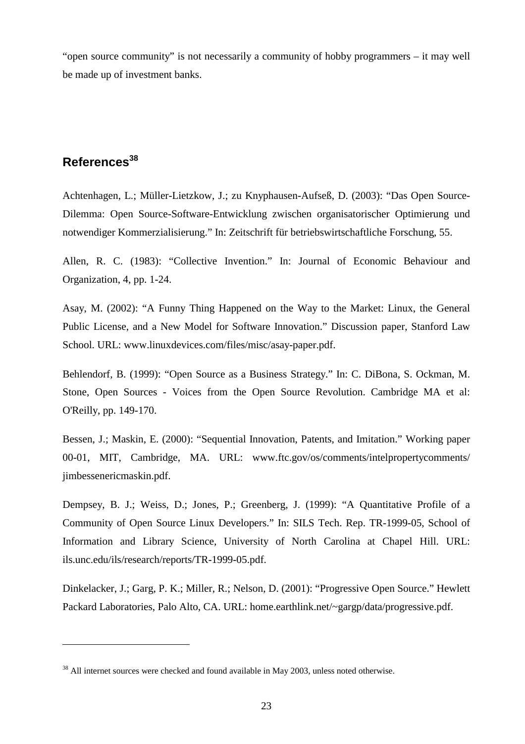"open source community" is not necessarily a community of hobby programmers – it may well be made up of investment banks.

## **References<sup>38</sup>**

 $\overline{a}$ 

Achtenhagen, L.; Müller-Lietzkow, J.; zu Knyphausen-Aufseß, D. (2003): "Das Open Source-Dilemma: Open Source-Software-Entwicklung zwischen organisatorischer Optimierung und notwendiger Kommerzialisierung." In: Zeitschrift für betriebswirtschaftliche Forschung, 55.

Allen, R. C. (1983): "Collective Invention." In: Journal of Economic Behaviour and Organization, 4, pp. 1-24.

Asay, M. (2002): "A Funny Thing Happened on the Way to the Market: Linux, the General Public License, and a New Model for Software Innovation." Discussion paper, Stanford Law School. URL: www.linuxdevices.com/files/misc/asay-paper.pdf.

Behlendorf, B. (1999): "Open Source as a Business Strategy." In: C. DiBona, S. Ockman, M. Stone, Open Sources - Voices from the Open Source Revolution. Cambridge MA et al: O'Reilly, pp. 149-170.

Bessen, J.; Maskin, E. (2000): "Sequential Innovation, Patents, and Imitation." Working paper 00-01, MIT, Cambridge, MA. URL: www.ftc.gov/os/comments/intelpropertycomments/ jimbessenericmaskin.pdf.

Dempsey, B. J.; Weiss, D.; Jones, P.; Greenberg, J. (1999): "A Quantitative Profile of a Community of Open Source Linux Developers." In: SILS Tech. Rep. TR-1999-05, School of Information and Library Science, University of North Carolina at Chapel Hill. URL: ils.unc.edu/ils/research/reports/TR-1999-05.pdf.

Dinkelacker, J.; Garg, P. K.; Miller, R.; Nelson, D. (2001): "Progressive Open Source." Hewlett Packard Laboratories, Palo Alto, CA. URL: home.earthlink.net/~gargp/data/progressive.pdf.

<sup>&</sup>lt;sup>38</sup> All internet sources were checked and found available in May 2003, unless noted otherwise.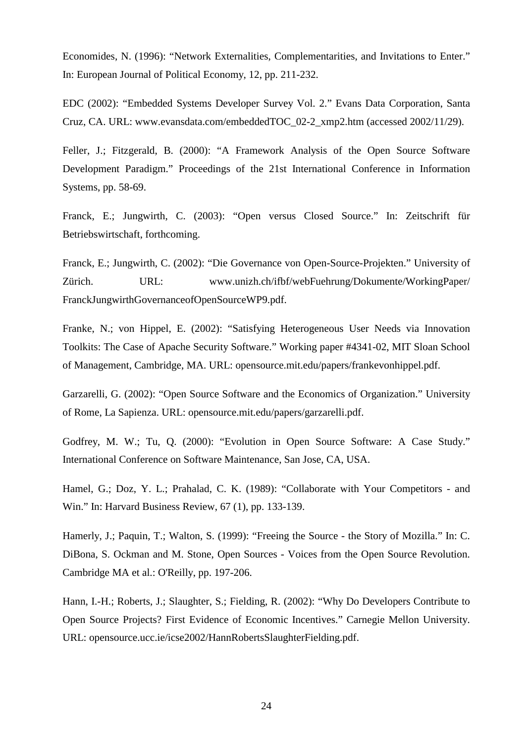Economides, N. (1996): "Network Externalities, Complementarities, and Invitations to Enter." In: European Journal of Political Economy, 12, pp. 211-232.

EDC (2002): "Embedded Systems Developer Survey Vol. 2." Evans Data Corporation, Santa Cruz, CA. URL: www.evansdata.com/embeddedTOC\_02-2\_xmp2.htm (accessed 2002/11/29).

Feller, J.; Fitzgerald, B. (2000): "A Framework Analysis of the Open Source Software Development Paradigm." Proceedings of the 21st International Conference in Information Systems, pp. 58-69.

Franck, E.; Jungwirth, C. (2003): "Open versus Closed Source." In: Zeitschrift für Betriebswirtschaft, forthcoming.

Franck, E.; Jungwirth, C. (2002): "Die Governance von Open-Source-Projekten." University of Zürich. URL: www.unizh.ch/ifbf/webFuehrung/Dokumente/WorkingPaper/ FranckJungwirthGovernanceofOpenSourceWP9.pdf.

Franke, N.; von Hippel, E. (2002): "Satisfying Heterogeneous User Needs via Innovation Toolkits: The Case of Apache Security Software." Working paper #4341-02, MIT Sloan School of Management, Cambridge, MA. URL: opensource.mit.edu/papers/frankevonhippel.pdf.

Garzarelli, G. (2002): "Open Source Software and the Economics of Organization." University of Rome, La Sapienza. URL: opensource.mit.edu/papers/garzarelli.pdf.

Godfrey, M. W.; Tu, Q. (2000): "Evolution in Open Source Software: A Case Study." International Conference on Software Maintenance, San Jose, CA, USA.

Hamel, G.; Doz, Y. L.; Prahalad, C. K. (1989): "Collaborate with Your Competitors - and Win." In: Harvard Business Review, 67 (1), pp. 133-139.

Hamerly, J.; Paquin, T.; Walton, S. (1999): "Freeing the Source - the Story of Mozilla." In: C. DiBona, S. Ockman and M. Stone, Open Sources - Voices from the Open Source Revolution. Cambridge MA et al.: O'Reilly, pp. 197-206.

Hann, I.-H.; Roberts, J.; Slaughter, S.; Fielding, R. (2002): "Why Do Developers Contribute to Open Source Projects? First Evidence of Economic Incentives." Carnegie Mellon University. URL: opensource.ucc.ie/icse2002/HannRobertsSlaughterFielding.pdf.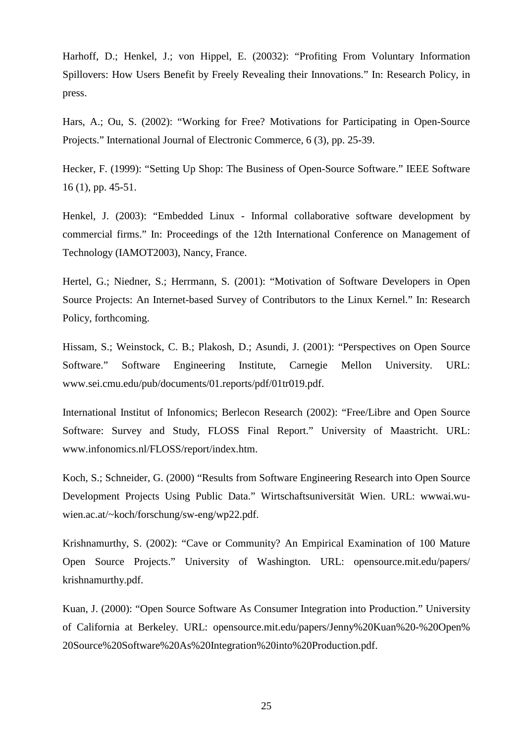Harhoff, D.; Henkel, J.; von Hippel, E. (20032): "Profiting From Voluntary Information Spillovers: How Users Benefit by Freely Revealing their Innovations." In: Research Policy, in press.

Hars, A.; Ou, S. (2002): "Working for Free? Motivations for Participating in Open-Source Projects." International Journal of Electronic Commerce, 6 (3), pp. 25-39.

Hecker, F. (1999): "Setting Up Shop: The Business of Open-Source Software." IEEE Software 16 (1), pp. 45-51.

Henkel, J. (2003): "Embedded Linux - Informal collaborative software development by commercial firms." In: Proceedings of the 12th International Conference on Management of Technology (IAMOT2003), Nancy, France.

Hertel, G.; Niedner, S.; Herrmann, S. (2001): "Motivation of Software Developers in Open Source Projects: An Internet-based Survey of Contributors to the Linux Kernel." In: Research Policy, forthcoming.

Hissam, S.; Weinstock, C. B.; Plakosh, D.; Asundi, J. (2001): "Perspectives on Open Source Software." Software Engineering Institute, Carnegie Mellon University. URL: www.sei.cmu.edu/pub/documents/01.reports/pdf/01tr019.pdf.

International Institut of Infonomics; Berlecon Research (2002): "Free/Libre and Open Source Software: Survey and Study, FLOSS Final Report." University of Maastricht. URL: www.infonomics.nl/FLOSS/report/index.htm.

Koch, S.; Schneider, G. (2000) "Results from Software Engineering Research into Open Source Development Projects Using Public Data." Wirtschaftsuniversität Wien. URL: wwwai.wuwien.ac.at/~koch/forschung/sw-eng/wp22.pdf.

Krishnamurthy, S. (2002): "Cave or Community? An Empirical Examination of 100 Mature Open Source Projects." University of Washington. URL: opensource.mit.edu/papers/ krishnamurthy.pdf.

Kuan, J. (2000): "Open Source Software As Consumer Integration into Production." University of California at Berkeley. URL: opensource.mit.edu/papers/Jenny%20Kuan%20-%20Open% 20Source%20Software%20As%20Integration%20into%20Production.pdf.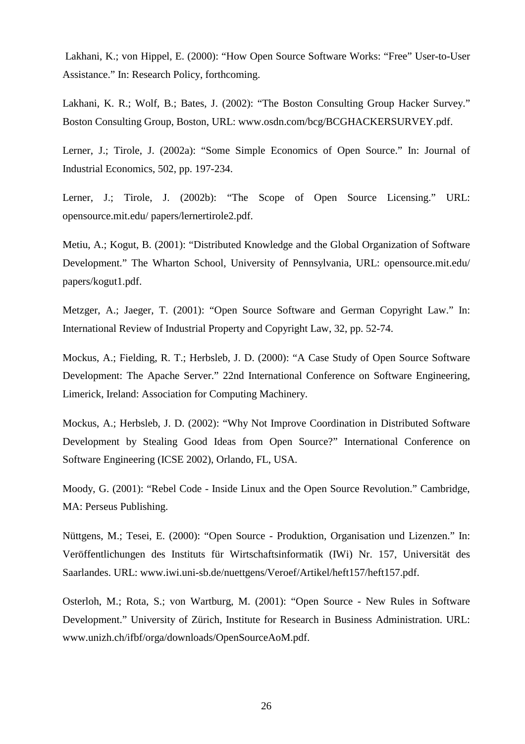Lakhani, K.; von Hippel, E. (2000): "How Open Source Software Works: "Free" User-to-User Assistance." In: Research Policy, forthcoming.

Lakhani, K. R.; Wolf, B.; Bates, J. (2002): "The Boston Consulting Group Hacker Survey." Boston Consulting Group, Boston, URL: www.osdn.com/bcg/BCGHACKERSURVEY.pdf.

Lerner, J.; Tirole, J. (2002a): "Some Simple Economics of Open Source." In: Journal of Industrial Economics, 502, pp. 197-234.

Lerner, J.; Tirole, J. (2002b): "The Scope of Open Source Licensing." URL: opensource.mit.edu/ papers/lernertirole2.pdf.

Metiu, A.; Kogut, B. (2001): "Distributed Knowledge and the Global Organization of Software Development." The Wharton School, University of Pennsylvania, URL: opensource.mit.edu/ papers/kogut1.pdf.

Metzger, A.; Jaeger, T. (2001): "Open Source Software and German Copyright Law." In: International Review of Industrial Property and Copyright Law, 32, pp. 52-74.

Mockus, A.; Fielding, R. T.; Herbsleb, J. D. (2000): "A Case Study of Open Source Software Development: The Apache Server." 22nd International Conference on Software Engineering, Limerick, Ireland: Association for Computing Machinery.

Mockus, A.; Herbsleb, J. D. (2002): "Why Not Improve Coordination in Distributed Software Development by Stealing Good Ideas from Open Source?" International Conference on Software Engineering (ICSE 2002), Orlando, FL, USA.

Moody, G. (2001): "Rebel Code - Inside Linux and the Open Source Revolution." Cambridge, MA: Perseus Publishing.

Nüttgens, M.; Tesei, E. (2000): "Open Source - Produktion, Organisation und Lizenzen." In: Veröffentlichungen des Instituts für Wirtschaftsinformatik (IWi) Nr. 157, Universität des Saarlandes. URL: www.iwi.uni-sb.de/nuettgens/Veroef/Artikel/heft157/heft157.pdf.

Osterloh, M.; Rota, S.; von Wartburg, M. (2001): "Open Source - New Rules in Software Development." University of Zürich, Institute for Research in Business Administration. URL: www.unizh.ch/ifbf/orga/downloads/OpenSourceAoM.pdf.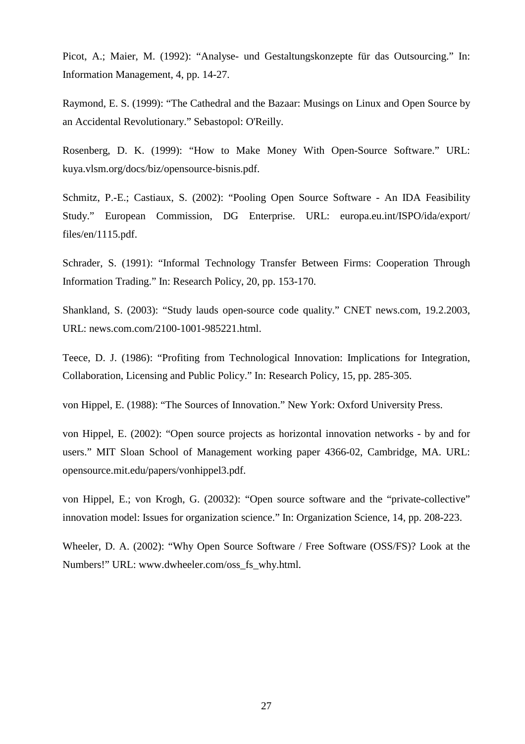Picot, A.; Maier, M. (1992): "Analyse- und Gestaltungskonzepte für das Outsourcing." In: Information Management, 4, pp. 14-27.

Raymond, E. S. (1999): "The Cathedral and the Bazaar: Musings on Linux and Open Source by an Accidental Revolutionary." Sebastopol: O'Reilly.

Rosenberg, D. K. (1999): "How to Make Money With Open-Source Software." URL: kuya.vlsm.org/docs/biz/opensource-bisnis.pdf.

Schmitz, P.-E.; Castiaux, S. (2002): "Pooling Open Source Software - An IDA Feasibility Study." European Commission, DG Enterprise. URL: europa.eu.int/ISPO/ida/export/ files/en/1115.pdf.

Schrader, S. (1991): "Informal Technology Transfer Between Firms: Cooperation Through Information Trading." In: Research Policy, 20, pp. 153-170.

Shankland, S. (2003): "Study lauds open-source code quality." CNET news.com, 19.2.2003, URL: news.com.com/2100-1001-985221.html.

Teece, D. J. (1986): "Profiting from Technological Innovation: Implications for Integration, Collaboration, Licensing and Public Policy." In: Research Policy, 15, pp. 285-305.

von Hippel, E. (1988): "The Sources of Innovation." New York: Oxford University Press.

von Hippel, E. (2002): "Open source projects as horizontal innovation networks - by and for users." MIT Sloan School of Management working paper 4366-02, Cambridge, MA. URL: opensource.mit.edu/papers/vonhippel3.pdf.

von Hippel, E.; von Krogh, G. (20032): "Open source software and the "private-collective" innovation model: Issues for organization science." In: Organization Science, 14, pp. 208-223.

Wheeler, D. A. (2002): "Why Open Source Software / Free Software (OSS/FS)? Look at the Numbers!" URL: www.dwheeler.com/oss\_fs\_why.html.